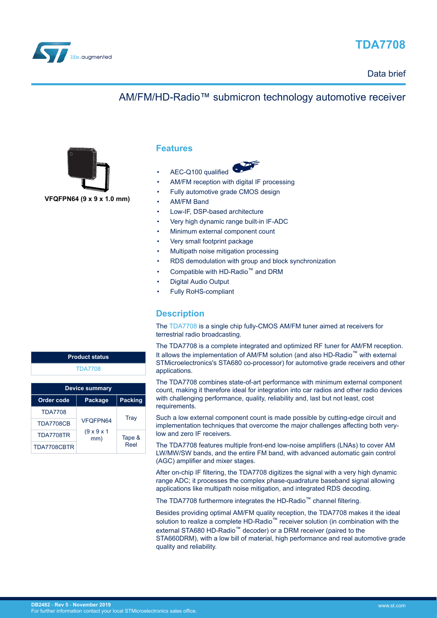<span id="page-0-0"></span>

# **TDA7708**

## AM/FM/HD-Radio™ submicron technology automotive receiver



**Features**

- AEC-Q100 qualified
- AM/FM reception with digital IF processing
- Fully automotive grade CMOS design
- AM/FM Band
- Low-IF, DSP-based architecture
- Very high dynamic range built-in IF-ADC
- Minimum external component count
- Very small footprint package
- Multipath noise mitigation processing
- RDS demodulation with group and block synchronization
- Compatible with HD-Radio™ and DRM
- Digital Audio Output
- Fully RoHS-compliant

## **Description**

The [TDA7708](http://www.st.com/en/product/tda7708?ecmp=tt9470_gl_link_feb2019&rt=db&id=DB2482) is a single chip fully-CMOS AM/FM tuner aimed at receivers for terrestrial radio broadcasting.

The TDA7708 is a complete integrated and optimized RF tuner for AM/FM reception. It allows the implementation of AM/FM solution (and also HD-Radio™ with external STMicroelectronics's STA680 co-processor) for automotive grade receivers and other applications.

The TDA7708 combines state-of-art performance with minimum external component count, making it therefore ideal for integration into car radios and other radio devices with challenging performance, quality, reliability and, last but not least, cost requirements.

Such a low external component count is made possible by cutting-edge circuit and implementation techniques that overcome the major challenges affecting both verylow and zero IF receivers.

The TDA7708 features multiple front-end low-noise amplifiers (LNAs) to cover AM LW/MW/SW bands, and the entire FM band, with advanced automatic gain control (AGC) amplifier and mixer stages.

After on-chip IF filtering, the TDA7708 digitizes the signal with a very high dynamic range ADC; it processes the complex phase-quadrature baseband signal allowing applications like multipath noise mitigation, and integrated RDS decoding.

The TDA7708 furthermore integrates the HD-Radio™ channel filtering.

Besides providing optimal AM/FM quality reception, the TDA7708 makes it the ideal solution to realize a complete HD-Radio<sup>™</sup> receiver solution (in combination with the external STA680 HD-Radio™ decoder) or a DRM receiver (paired to the STA660DRM), with a low bill of material, high performance and real automotive grade quality and reliability.

| <b>Product status</b> |
|-----------------------|
| <b>TDA7708</b>        |
|                       |

| <b>Device summary</b> |                                |                |  |  |
|-----------------------|--------------------------------|----------------|--|--|
| <b>Order code</b>     | Package                        | <b>Packing</b> |  |  |
| <b>TDA7708</b>        |                                |                |  |  |
| <b>TDA7708CB</b>      | VFOFPN64                       | Tray           |  |  |
| <b>TDA7708TR</b>      | $(9 \times 9 \times 1)$<br>mm) | Tape &<br>Reel |  |  |
| TDA7708CBTR           |                                |                |  |  |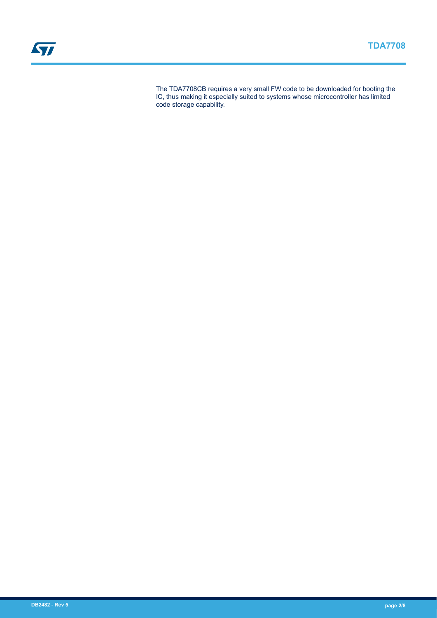The TDA7708CB requires a very small FW code to be downloaded for booting the IC, thus making it especially suited to systems whose microcontroller has limited code storage capability.

ST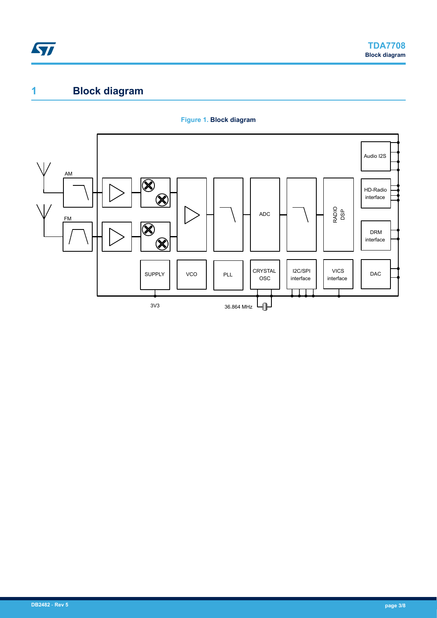<span id="page-2-0"></span>

# **1 Block diagram**



#### **Figure 1. Block diagram**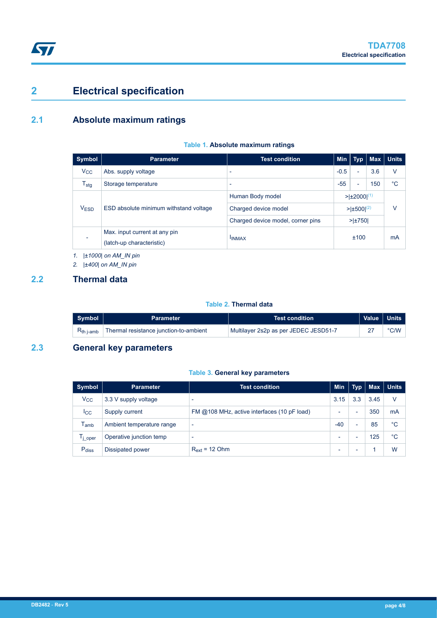# **2 Electrical specification**

## **2.1 Absolute maximum ratings**

#### **Table 1. Absolute maximum ratings**

| Symbol           | <b>Parameter</b>                       | <b>Test condition</b>             | <b>Min</b>                         | <b>Typ</b>               | <b>Max</b> | ∣ Units |
|------------------|----------------------------------------|-----------------------------------|------------------------------------|--------------------------|------------|---------|
| $V_{\rm CC}$     | Abs. supply voltage                    | $\overline{\phantom{0}}$          | $-0.5$                             | $\blacksquare$           | 3.6        | v       |
| $T_{\text{stg}}$ | Storage temperature                    | $\overline{\phantom{0}}$          | $-55$                              | $\overline{\phantom{0}}$ | 150        | °C      |
| <b>VESD</b>      | ESD absolute minimum withstand voltage | Human Body model                  | $> \pm 2000 ^{(1)}$                |                          |            |         |
|                  |                                        | Charged device model              | $> \pm 500 ^{(2)}$<br>$> \pm 750 $ |                          |            | ν       |
|                  |                                        | Charged device model, corner pins |                                    |                          |            |         |
|                  | Max. input current at any pin          |                                   |                                    | ±100                     |            | mA      |
|                  | (latch-up characteristic)              | <b>IINMAX</b>                     |                                    |                          |            |         |

*1. |±1000| on AM\_IN pin*

*2. |±400| on AM\_IN pin*

### **2.2 Thermal data**

#### **Table 2. Thermal data**

| Symbol | <b>Parameter</b>                                              | .Test condition!                      | Value   Units |
|--------|---------------------------------------------------------------|---------------------------------------|---------------|
|        | $R_{th\ i\text{-amb}}$ Thermal resistance junction-to-ambient | Multilayer 2s2p as per JEDEC JESD51-7 | $\degree$ C/W |

## **2.3 General key parameters**

#### **Table 3. General key parameters**

| Symbol              | <b>Parameter</b>          | <b>Test condition</b>                       | Min   | <b>Typ</b>               | <b>Max</b> | ∣ Units |
|---------------------|---------------------------|---------------------------------------------|-------|--------------------------|------------|---------|
| $V_{\rm CC}$        | 3.3 V supply voltage      |                                             | 3.15  | 3.3                      | 3.45       | V       |
| $_{\rm lcc}$        | Supply current            | FM @108 MHz, active interfaces (10 pF load) | -     | $\overline{\phantom{0}}$ | 350        | mA      |
| <sup>I</sup> amb    | Ambient temperature range | $\overline{\phantom{a}}$                    | $-40$ | -                        | 85         | °C      |
| $I_{\text{i}}$ oper | Operative junction temp   |                                             | -     |                          | 125        | °C      |
| Pdiss               | Dissipated power          | $R_{ext}$ = 12 Ohm                          | -     |                          |            | W       |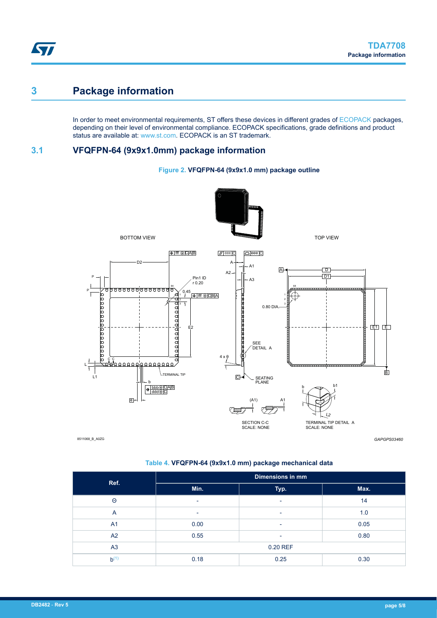# **3 Package information**

In order to meet environmental requirements, ST offers these devices in different grades of [ECOPACK](https://www.st.com/ecopack) packages, depending on their level of environmental compliance. ECOPACK specifications, grade definitions and product status are available at: [www.st.com.](http://www.st.com) ECOPACK is an ST trademark.

## **3.1 VFQFPN-64 (9x9x1.0mm) package information**



**Figure 2. VFQFPN-64 (9x9x1.0 mm) package outline**

8511068\_B\_A0ZG

*GAPGPS03460*

#### **Table 4. VFQFPN-64 (9x9x1.0 mm) package mechanical data**

| Ref.           | <b>Dimensions in mm</b> |                          |      |  |
|----------------|-------------------------|--------------------------|------|--|
|                | Min.                    | Typ.                     | Max. |  |
| Θ              | ٠                       | ٠                        | 14   |  |
| $\overline{A}$ | ٠                       | $\overline{\phantom{a}}$ | 1.0  |  |
| A <sub>1</sub> | 0.00                    | $\overline{\phantom{a}}$ | 0.05 |  |
| A2             | 0.55                    | ٠                        | 0.80 |  |
| A <sub>3</sub> | 0.20 REF                |                          |      |  |
| $b^{(1)}$      | 0.18                    | 0.25                     | 0.30 |  |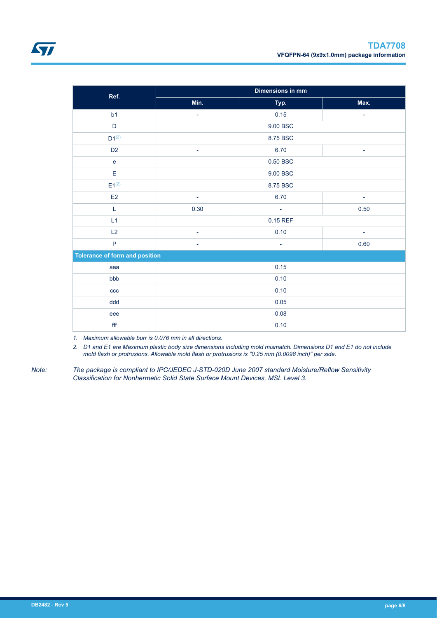<span id="page-5-0"></span>

| Ref.                                  |                          | <b>Dimensions in mm</b>  |                          |  |  |
|---------------------------------------|--------------------------|--------------------------|--------------------------|--|--|
|                                       | Min.                     | Typ.                     | Max.                     |  |  |
| b <sub>1</sub>                        | $\overline{\phantom{a}}$ | 0.15                     | $\overline{\phantom{a}}$ |  |  |
| D                                     |                          | 9.00 BSC                 |                          |  |  |
| $D1^{(2)}$                            |                          | 8.75 BSC                 |                          |  |  |
| D <sub>2</sub>                        | $\overline{\phantom{a}}$ | 6.70                     | $\overline{\phantom{a}}$ |  |  |
| $\mathbf{e}$                          |                          | 0.50 BSC                 |                          |  |  |
| E                                     |                          | 9.00 BSC                 |                          |  |  |
| $E1^{(2)}$                            |                          | 8.75 BSC                 |                          |  |  |
| E2                                    | $\overline{\phantom{a}}$ | 6.70                     | $\overline{\phantom{a}}$ |  |  |
| L                                     | 0.30                     | $\overline{\phantom{a}}$ | 0.50                     |  |  |
| L1                                    |                          | 0.15 REF                 |                          |  |  |
| L2                                    | $\overline{\phantom{a}}$ | 0.10                     | $\overline{\phantom{a}}$ |  |  |
| $\overline{P}$                        | ۰                        | $\overline{\phantom{a}}$ | 0.60                     |  |  |
| <b>Tolerance of form and position</b> |                          |                          |                          |  |  |
| aaa                                   |                          | 0.15                     |                          |  |  |
| bbb                                   |                          | 0.10                     |                          |  |  |
| ccc                                   | 0.10                     |                          |                          |  |  |
| ddd                                   | 0.05                     |                          |                          |  |  |
| eee                                   | 0.08                     |                          |                          |  |  |
| fff                                   | 0.10                     |                          |                          |  |  |

*1. Maximum allowable burr is 0.076 mm in all directions.*

*2. D1 and E1 are Maximum plastic body size dimensions including mold mismatch. Dimensions D1 and E1 do not include mold flash or protrusions. Allowable mold flash or protrusions is "0.25 mm (0.0098 inch)" per side.*

*Note: The package is compliant to IPC/JEDEC J-STD-020D June 2007 standard Moisture/Reflow Sensitivity Classification for Nonhermetic Solid State Surface Mount Devices, MSL Level 3.*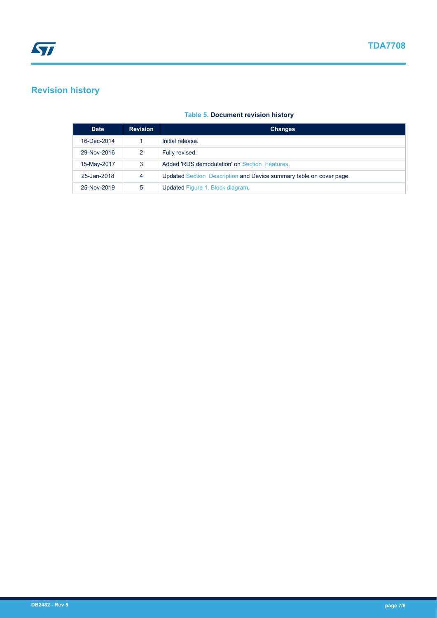# **Revision history**

| <b>Date</b> | <b>Revision</b> | <b>Changes</b>                                                      |
|-------------|-----------------|---------------------------------------------------------------------|
| 16-Dec-2014 |                 | Initial release.                                                    |
| 29-Nov-2016 |                 | Fully revised.                                                      |
| 15-May-2017 | 3               | Added 'RDS demodulation' on Section Features                        |
| 25-Jan-2018 | 4               | Updated Section Description and Device summary table on cover page. |
| 25-Nov-2019 | 5               | Updated Figure 1. Block diagram.                                    |

#### **Table 5. Document revision history**